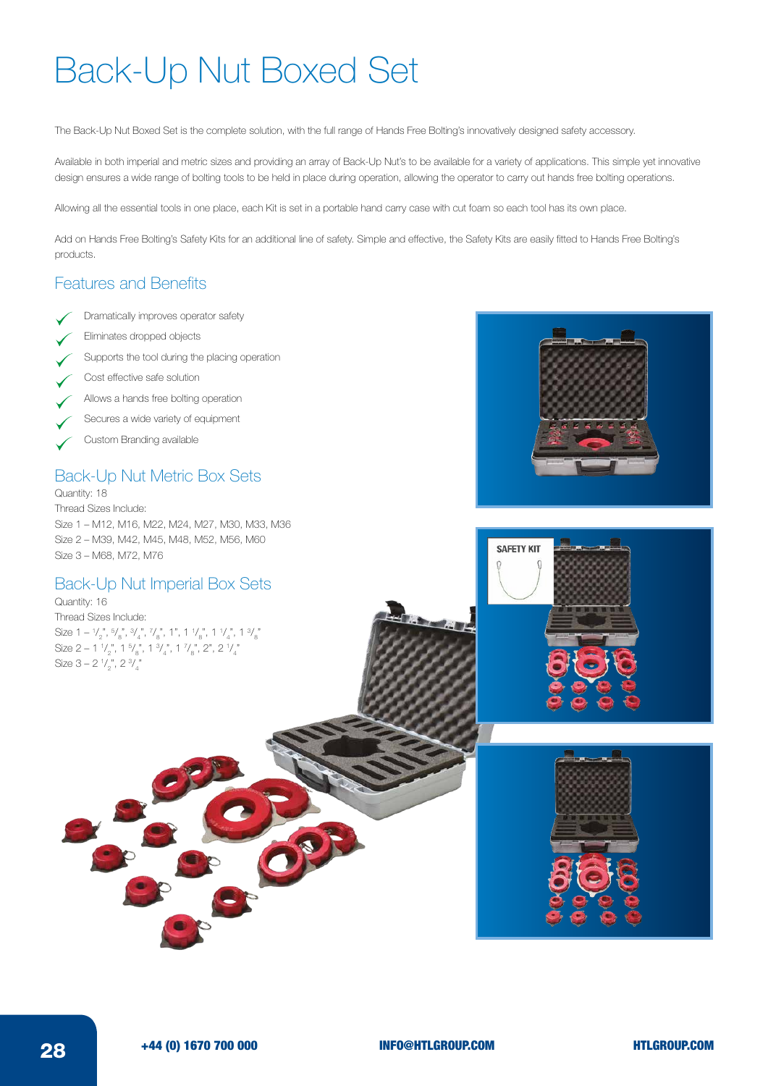# Back-Up Nut Boxed Set

The Back-Up Nut Boxed Set is the complete solution, with the full range of Hands Free Bolting's innovatively designed safety accessory.

Available in both imperial and metric sizes and providing an array of Back-Up Nut's to be available for a variety of applications. This simple yet innovative design ensures a wide range of bolting tools to be held in place during operation, allowing the operator to carry out hands free bolting operations.

Allowing all the essential tools in one place, each Kit is set in a portable hand carry case with cut foam so each tool has its own place.

Add on Hands Free Bolting's Safety Kits for an additional line of safety. Simple and effective, the Safety Kits are easily fitted to Hands Free Bolting's products.

### Features and Benefits

- Dramatically improves operator safety
- Eliminates dropped objects
- Supports the tool during the placing operation
- Cost effective safe solution
- Allows a hands free bolting operation
- Secures a wide variety of equipment
- Custom Branding available

#### Back-Up Nut Metric Box Sets

Quantity: 18 Thread Sizes Include: Size 1 – M12, M16, M22, M24, M27, M30, M33, M36 Size 2 – M39, M42, M45, M48, M52, M56, M60 Size 3 – M68, M72, M76

#### Back-Up Nut Imperial Box Sets

Quantity: 16 Thread Sizes Include: Size 1 –  $\frac{1}{2}$ ,  $\frac{5}{8}$ ,  $\frac{3}{4}$ ,  $\frac{7}{8}$ , 1", 1  $\frac{1}{8}$ , 1  $\frac{1}{4}$ , 1  $\frac{3}{8}$ Size 2 – 1  $\frac{1}{2}$ , 1  $\frac{5}{8}$ , 1  $\frac{3}{4}$ , 1  $\frac{7}{8}$ , 2", 2  $\frac{1}{4}$ Size 3 – 2  $\frac{1}{2}$ , 2  $\frac{3}{4}$